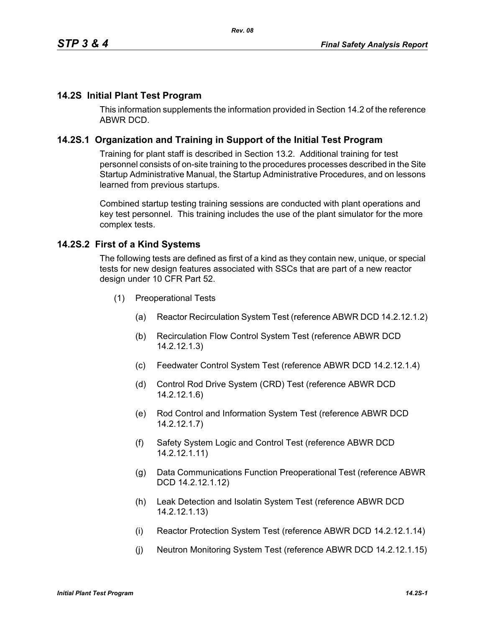### **14.2S Initial Plant Test Program**

This information supplements the information provided in Section 14.2 of the reference ABWR DCD.

### **14.2S.1 Organization and Training in Support of the Initial Test Program**

Training for plant staff is described in Section 13.2. Additional training for test personnel consists of on-site training to the procedures processes described in the Site Startup Administrative Manual, the Startup Administrative Procedures, and on lessons learned from previous startups.

Combined startup testing training sessions are conducted with plant operations and key test personnel. This training includes the use of the plant simulator for the more complex tests.

#### **14.2S.2 First of a Kind Systems**

The following tests are defined as first of a kind as they contain new, unique, or special tests for new design features associated with SSCs that are part of a new reactor design under 10 CFR Part 52.

- (1) Preoperational Tests
	- (a) Reactor Recirculation System Test (reference ABWR DCD 14.2.12.1.2)
	- (b) Recirculation Flow Control System Test (reference ABWR DCD 14.2.12.1.3)
	- (c) Feedwater Control System Test (reference ABWR DCD 14.2.12.1.4)
	- (d) Control Rod Drive System (CRD) Test (reference ABWR DCD 14.2.12.1.6)
	- (e) Rod Control and Information System Test (reference ABWR DCD 14.2.12.1.7)
	- (f) Safety System Logic and Control Test (reference ABWR DCD 14.2.12.1.11)
	- (g) Data Communications Function Preoperational Test (reference ABWR DCD 14.2.12.1.12)
	- (h) Leak Detection and Isolatin System Test (reference ABWR DCD 14.2.12.1.13)
	- (i) Reactor Protection System Test (reference ABWR DCD 14.2.12.1.14)
	- (j) Neutron Monitoring System Test (reference ABWR DCD 14.2.12.1.15)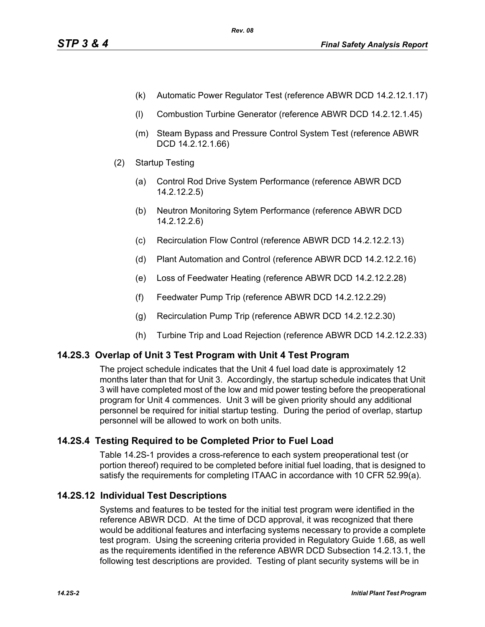- (k) Automatic Power Regulator Test (reference ABWR DCD 14.2.12.1.17)
- (l) Combustion Turbine Generator (reference ABWR DCD 14.2.12.1.45)
- (m) Steam Bypass and Pressure Control System Test (reference ABWR DCD 14.2.12.1.66)
- (2) Startup Testing
	- (a) Control Rod Drive System Performance (reference ABWR DCD 14.2.12.2.5)
	- (b) Neutron Monitoring Sytem Performance (reference ABWR DCD 14.2.12.2.6)
	- (c) Recirculation Flow Control (reference ABWR DCD 14.2.12.2.13)
	- (d) Plant Automation and Control (reference ABWR DCD 14.2.12.2.16)
	- (e) Loss of Feedwater Heating (reference ABWR DCD 14.2.12.2.28)
	- (f) Feedwater Pump Trip (reference ABWR DCD 14.2.12.2.29)
	- (g) Recirculation Pump Trip (reference ABWR DCD 14.2.12.2.30)
	- (h) Turbine Trip and Load Rejection (reference ABWR DCD 14.2.12.2.33)

## **14.2S.3 Overlap of Unit 3 Test Program with Unit 4 Test Program**

The project schedule indicates that the Unit 4 fuel load date is approximately 12 months later than that for Unit 3. Accordingly, the startup schedule indicates that Unit 3 will have completed most of the low and mid power testing before the preoperational program for Unit 4 commences. Unit 3 will be given priority should any additional personnel be required for initial startup testing. During the period of overlap, startup personnel will be allowed to work on both units.

# **14.2S.4 Testing Required to be Completed Prior to Fuel Load**

Table 14.2S-1 provides a cross-reference to each system preoperational test (or portion thereof) required to be completed before initial fuel loading, that is designed to satisfy the requirements for completing ITAAC in accordance with 10 CFR 52.99(a).

## **14.2S.12 Individual Test Descriptions**

Systems and features to be tested for the initial test program were identified in the reference ABWR DCD. At the time of DCD approval, it was recognized that there would be additional features and interfacing systems necessary to provide a complete test program. Using the screening criteria provided in Regulatory Guide 1.68, as well as the requirements identified in the reference ABWR DCD Subsection 14.2.13.1, the following test descriptions are provided. Testing of plant security systems will be in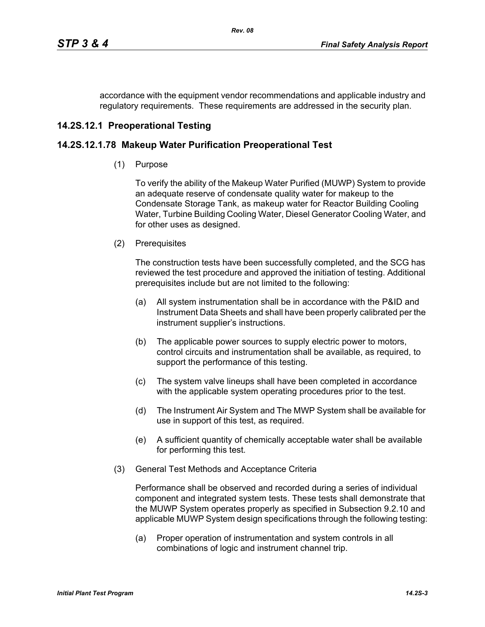accordance with the equipment vendor recommendations and applicable industry and regulatory requirements. These requirements are addressed in the security plan.

## **14.2S.12.1 Preoperational Testing**

### **14.2S.12.1.78 Makeup Water Purification Preoperational Test**

(1) Purpose

To verify the ability of the Makeup Water Purified (MUWP) System to provide an adequate reserve of condensate quality water for makeup to the Condensate Storage Tank, as makeup water for Reactor Building Cooling Water, Turbine Building Cooling Water, Diesel Generator Cooling Water, and for other uses as designed.

(2) Prerequisites

The construction tests have been successfully completed, and the SCG has reviewed the test procedure and approved the initiation of testing. Additional prerequisites include but are not limited to the following:

- (a) All system instrumentation shall be in accordance with the P&ID and Instrument Data Sheets and shall have been properly calibrated per the instrument supplier's instructions.
- (b) The applicable power sources to supply electric power to motors, control circuits and instrumentation shall be available, as required, to support the performance of this testing.
- (c) The system valve lineups shall have been completed in accordance with the applicable system operating procedures prior to the test.
- (d) The Instrument Air System and The MWP System shall be available for use in support of this test, as required.
- (e) A sufficient quantity of chemically acceptable water shall be available for performing this test.
- (3) General Test Methods and Acceptance Criteria

Performance shall be observed and recorded during a series of individual component and integrated system tests. These tests shall demonstrate that the MUWP System operates properly as specified in Subsection 9.2.10 and applicable MUWP System design specifications through the following testing:

(a) Proper operation of instrumentation and system controls in all combinations of logic and instrument channel trip.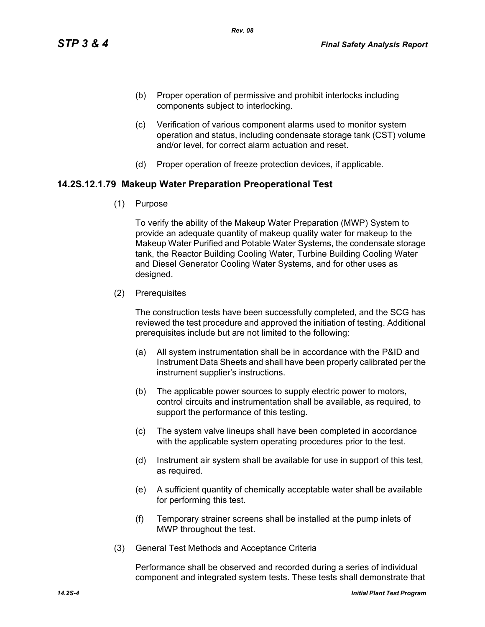- (b) Proper operation of permissive and prohibit interlocks including components subject to interlocking.
- (c) Verification of various component alarms used to monitor system operation and status, including condensate storage tank (CST) volume and/or level, for correct alarm actuation and reset.
- (d) Proper operation of freeze protection devices, if applicable.

### **14.2S.12.1.79 Makeup Water Preparation Preoperational Test**

(1) Purpose

To verify the ability of the Makeup Water Preparation (MWP) System to provide an adequate quantity of makeup quality water for makeup to the Makeup Water Purified and Potable Water Systems, the condensate storage tank, the Reactor Building Cooling Water, Turbine Building Cooling Water and Diesel Generator Cooling Water Systems, and for other uses as designed.

(2) Prerequisites

The construction tests have been successfully completed, and the SCG has reviewed the test procedure and approved the initiation of testing. Additional prerequisites include but are not limited to the following:

- (a) All system instrumentation shall be in accordance with the P&ID and Instrument Data Sheets and shall have been properly calibrated per the instrument supplier's instructions.
- (b) The applicable power sources to supply electric power to motors, control circuits and instrumentation shall be available, as required, to support the performance of this testing.
- (c) The system valve lineups shall have been completed in accordance with the applicable system operating procedures prior to the test.
- (d) Instrument air system shall be available for use in support of this test, as required.
- (e) A sufficient quantity of chemically acceptable water shall be available for performing this test.
- (f) Temporary strainer screens shall be installed at the pump inlets of MWP throughout the test.
- (3) General Test Methods and Acceptance Criteria

Performance shall be observed and recorded during a series of individual component and integrated system tests. These tests shall demonstrate that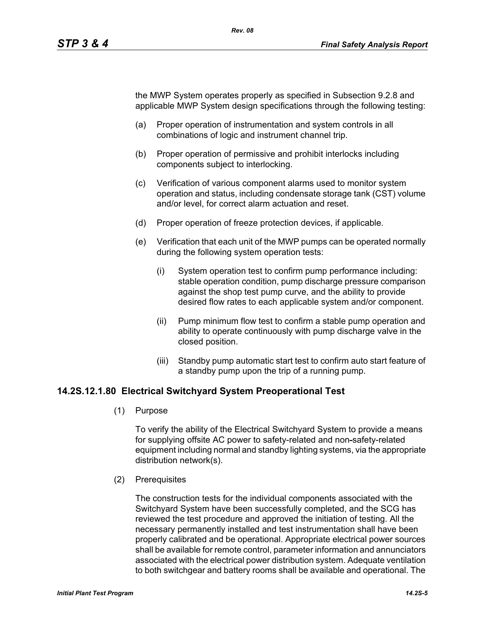the MWP System operates properly as specified in Subsection 9.2.8 and applicable MWP System design specifications through the following testing:

- (a) Proper operation of instrumentation and system controls in all combinations of logic and instrument channel trip.
- (b) Proper operation of permissive and prohibit interlocks including components subject to interlocking.
- (c) Verification of various component alarms used to monitor system operation and status, including condensate storage tank (CST) volume and/or level, for correct alarm actuation and reset.
- (d) Proper operation of freeze protection devices, if applicable.
- (e) Verification that each unit of the MWP pumps can be operated normally during the following system operation tests:
	- (i) System operation test to confirm pump performance including: stable operation condition, pump discharge pressure comparison against the shop test pump curve, and the ability to provide desired flow rates to each applicable system and/or component.
	- (ii) Pump minimum flow test to confirm a stable pump operation and ability to operate continuously with pump discharge valve in the closed position.
	- (iii) Standby pump automatic start test to confirm auto start feature of a standby pump upon the trip of a running pump.

#### **14.2S.12.1.80 Electrical Switchyard System Preoperational Test**

(1) Purpose

To verify the ability of the Electrical Switchyard System to provide a means for supplying offsite AC power to safety-related and non-safety-related equipment including normal and standby lighting systems, via the appropriate distribution network(s).

(2) Prerequisites

The construction tests for the individual components associated with the Switchyard System have been successfully completed, and the SCG has reviewed the test procedure and approved the initiation of testing. All the necessary permanently installed and test instrumentation shall have been properly calibrated and be operational. Appropriate electrical power sources shall be available for remote control, parameter information and annunciators associated with the electrical power distribution system. Adequate ventilation to both switchgear and battery rooms shall be available and operational. The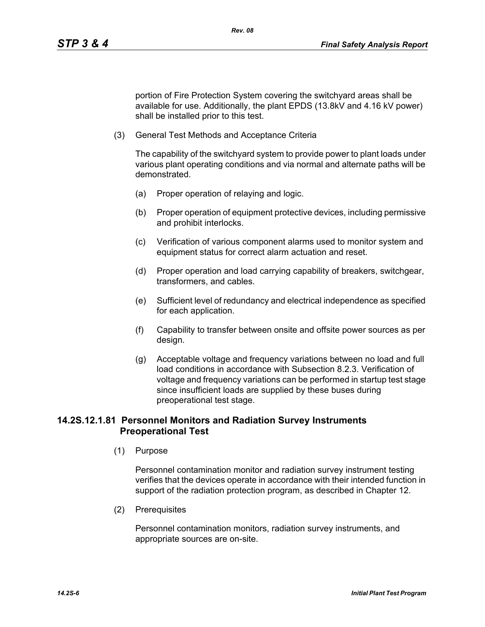portion of Fire Protection System covering the switchyard areas shall be available for use. Additionally, the plant EPDS (13.8kV and 4.16 kV power) shall be installed prior to this test.

(3) General Test Methods and Acceptance Criteria

The capability of the switchyard system to provide power to plant loads under various plant operating conditions and via normal and alternate paths will be demonstrated.

- (a) Proper operation of relaying and logic.
- (b) Proper operation of equipment protective devices, including permissive and prohibit interlocks.
- (c) Verification of various component alarms used to monitor system and equipment status for correct alarm actuation and reset.
- (d) Proper operation and load carrying capability of breakers, switchgear, transformers, and cables.
- (e) Sufficient level of redundancy and electrical independence as specified for each application.
- (f) Capability to transfer between onsite and offsite power sources as per design.
- (g) Acceptable voltage and frequency variations between no load and full load conditions in accordance with Subsection 8.2.3. Verification of voltage and frequency variations can be performed in startup test stage since insufficient loads are supplied by these buses during preoperational test stage.

## **14.2S.12.1.81 Personnel Monitors and Radiation Survey Instruments Preoperational Test**

(1) Purpose

Personnel contamination monitor and radiation survey instrument testing verifies that the devices operate in accordance with their intended function in support of the radiation protection program, as described in Chapter 12.

(2) Prerequisites

Personnel contamination monitors, radiation survey instruments, and appropriate sources are on-site.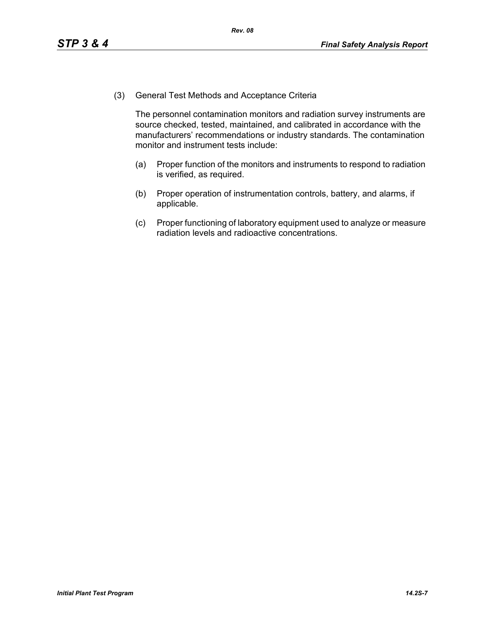(3) General Test Methods and Acceptance Criteria

The personnel contamination monitors and radiation survey instruments are source checked, tested, maintained, and calibrated in accordance with the manufacturers' recommendations or industry standards. The contamination monitor and instrument tests include:

- (a) Proper function of the monitors and instruments to respond to radiation is verified, as required.
- (b) Proper operation of instrumentation controls, battery, and alarms, if applicable.
- (c) Proper functioning of laboratory equipment used to analyze or measure radiation levels and radioactive concentrations.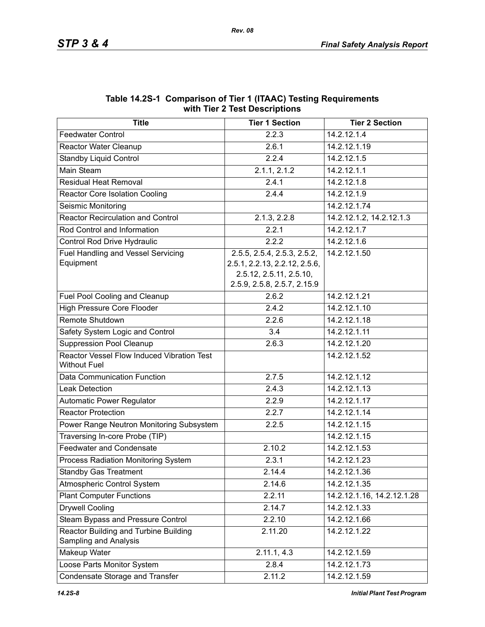| $\frac{1}{2}$                                                     |                                                                                                                        |                            |  |  |
|-------------------------------------------------------------------|------------------------------------------------------------------------------------------------------------------------|----------------------------|--|--|
| <b>Title</b>                                                      | <b>Tier 1 Section</b>                                                                                                  | <b>Tier 2 Section</b>      |  |  |
| <b>Feedwater Control</b>                                          | 2.2.3                                                                                                                  | 14.2.12.1.4                |  |  |
| Reactor Water Cleanup                                             | 2.6.1                                                                                                                  | 14.2.12.1.19               |  |  |
| <b>Standby Liquid Control</b>                                     | 2.2.4                                                                                                                  | 14.2.12.1.5                |  |  |
| Main Steam                                                        | 2.1.1, 2.1.2                                                                                                           | 14.2.12.1.1                |  |  |
| <b>Residual Heat Removal</b>                                      | 2.4.1                                                                                                                  | 14.2.12.1.8                |  |  |
| <b>Reactor Core Isolation Cooling</b>                             | 2.4.4                                                                                                                  | 14.2.12.1.9                |  |  |
| Seismic Monitoring                                                |                                                                                                                        | 14.2.12.1.74               |  |  |
| <b>Reactor Recirculation and Control</b>                          | 2.1.3, 2.2.8                                                                                                           | 14.2.12.1.2, 14.2.12.1.3   |  |  |
| Rod Control and Information                                       | 2.2.1                                                                                                                  | 14.2.12.1.7                |  |  |
| Control Rod Drive Hydraulic                                       | 2.2.2                                                                                                                  | 14.2.12.1.6                |  |  |
| <b>Fuel Handling and Vessel Servicing</b><br>Equipment            | 2.5.5, 2.5.4, 2.5.3, 2.5.2,<br>2.5.1, 2.2.13, 2.2.12, 2.5.6,<br>2.5.12, 2.5.11, 2.5.10,<br>2.5.9, 2.5.8, 2.5.7, 2.15.9 | 14.2.12.1.50               |  |  |
| Fuel Pool Cooling and Cleanup                                     | 2.6.2                                                                                                                  | 14.2.12.1.21               |  |  |
| <b>High Pressure Core Flooder</b>                                 | 2.4.2                                                                                                                  | 14.2.12.1.10               |  |  |
| Remote Shutdown                                                   | 2.2.6                                                                                                                  | 14.2.12.1.18               |  |  |
| Safety System Logic and Control                                   | 3.4                                                                                                                    | 14.2.12.1.11               |  |  |
| <b>Suppression Pool Cleanup</b>                                   | 2.6.3                                                                                                                  | 14.2.12.1.20               |  |  |
| Reactor Vessel Flow Induced Vibration Test<br><b>Without Fuel</b> |                                                                                                                        | 14.2.12.1.52               |  |  |
| Data Communication Function                                       | 2.7.5                                                                                                                  | 14.2.12.1.12               |  |  |
| <b>Leak Detection</b>                                             | 2.4.3                                                                                                                  | 14.2.12.1.13               |  |  |
| Automatic Power Regulator                                         | 2.2.9                                                                                                                  | 14.2.12.1.17               |  |  |
| <b>Reactor Protection</b>                                         | 2.2.7                                                                                                                  | 14.2.12.1.14               |  |  |
| Power Range Neutron Monitoring Subsystem                          | 2.2.5                                                                                                                  | 14.2.12.1.15               |  |  |
| Traversing In-core Probe (TIP)                                    |                                                                                                                        | 14.2.12.1.15               |  |  |
| <b>Feedwater and Condensate</b>                                   | 2.10.2                                                                                                                 | 14.2.12.1.53               |  |  |
| Process Radiation Monitoring System                               | 2.3.1                                                                                                                  | 14.2.12.1.23               |  |  |
| <b>Standby Gas Treatment</b>                                      | 2.14.4                                                                                                                 | 14.2.12.1.36               |  |  |
| Atmospheric Control System                                        | 2.14.6                                                                                                                 | 14.2.12.1.35               |  |  |
| <b>Plant Computer Functions</b>                                   | 2.2.11                                                                                                                 | 14.2.12.1.16, 14.2.12.1.28 |  |  |
| <b>Drywell Cooling</b>                                            | 2.14.7                                                                                                                 | 14.2.12.1.33               |  |  |
| Steam Bypass and Pressure Control                                 | 2.2.10                                                                                                                 | 14.2.12.1.66               |  |  |
| Reactor Building and Turbine Building<br>Sampling and Analysis    | 2.11.20                                                                                                                | 14.2.12.1.22               |  |  |
| Makeup Water                                                      | 2.11.1, 4.3                                                                                                            | 14.2.12.1.59               |  |  |
| Loose Parts Monitor System                                        | 2.8.4                                                                                                                  | 14.2.12.1.73               |  |  |
| Condensate Storage and Transfer                                   | 2.11.2                                                                                                                 | 14.2.12.1.59               |  |  |

#### **Table 14.2S-1 Comparison of Tier 1 (ITAAC) Testing Requirements with Tier 2 Test Descriptions**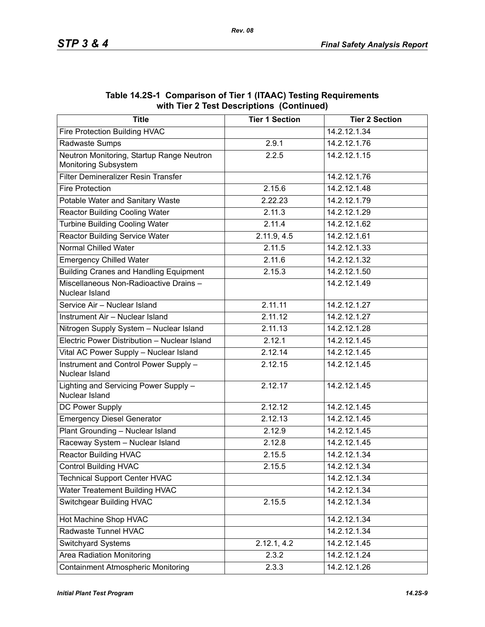| <b>Title</b>                                                      | <b>Tier 1 Section</b> | <b>Tier 2 Section</b> |
|-------------------------------------------------------------------|-----------------------|-----------------------|
| Fire Protection Building HVAC                                     |                       | 14.2.12.1.34          |
| Radwaste Sumps                                                    | 2.9.1                 | 14.2.12.1.76          |
| Neutron Monitoring, Startup Range Neutron<br>Monitoring Subsystem | 2.2.5                 | 14.2.12.1.15          |
| Filter Demineralizer Resin Transfer                               |                       | 14.2.12.1.76          |
| <b>Fire Protection</b>                                            | 2.15.6                | 14.2.12.1.48          |
| Potable Water and Sanitary Waste                                  | 2.22.23               | 14.2.12.1.79          |
| <b>Reactor Building Cooling Water</b>                             | 2.11.3                | 14.2.12.1.29          |
| <b>Turbine Building Cooling Water</b>                             | 2.11.4                | 14.2.12.1.62          |
| <b>Reactor Building Service Water</b>                             | 2.11.9, 4.5           | 14.2.12.1.61          |
| <b>Normal Chilled Water</b>                                       | 2.11.5                | 14.2.12.1.33          |
| <b>Emergency Chilled Water</b>                                    | 2.11.6                | 14.2.12.1.32          |
| <b>Building Cranes and Handling Equipment</b>                     | 2.15.3                | 14.2.12.1.50          |
| Miscellaneous Non-Radioactive Drains -<br>Nuclear Island          |                       | 14.2.12.1.49          |
| Service Air - Nuclear Island                                      | 2.11.11               | 14.2.12.1.27          |
| Instrument Air - Nuclear Island                                   | 2.11.12               | 14.2.12.1.27          |
| Nitrogen Supply System - Nuclear Island                           | 2.11.13               | 14.2.12.1.28          |
| Electric Power Distribution - Nuclear Island                      | 2.12.1                | 14.2.12.1.45          |
| Vital AC Power Supply - Nuclear Island                            | 2.12.14               | 14.2.12.1.45          |
| Instrument and Control Power Supply -<br>Nuclear Island           | 2.12.15               | 14.2.12.1.45          |
| Lighting and Servicing Power Supply -<br>Nuclear Island           | 2.12.17               | 14.2.12.1.45          |
| DC Power Supply                                                   | 2.12.12               | 14.2.12.1.45          |
| <b>Emergency Diesel Generator</b>                                 | 2.12.13               | 14.2.12.1.45          |
| Plant Grounding - Nuclear Island                                  | 2.12.9                | 14.2.12.1.45          |
| Raceway System - Nuclear Island                                   | 2.12.8                | 14.2.12.1.45          |
| <b>Reactor Building HVAC</b>                                      | 2.15.5                | 14.2.12.1.34          |
| <b>Control Building HVAC</b>                                      | 2.15.5                | 14.2.12.1.34          |
| <b>Technical Support Center HVAC</b>                              |                       | 14.2.12.1.34          |
| Water Treatement Building HVAC                                    |                       | 14.2.12.1.34          |
| <b>Switchgear Building HVAC</b>                                   | 2.15.5                | 14.2.12.1.34          |
| Hot Machine Shop HVAC                                             |                       | 14.2.12.1.34          |
| Radwaste Tunnel HVAC                                              |                       | 14.2.12.1.34          |
| Switchyard Systems                                                | 2.12.1, 4.2           | 14.2.12.1.45          |
| <b>Area Radiation Monitoring</b>                                  | 2.3.2                 | 14.2.12.1.24          |
| <b>Containment Atmospheric Monitoring</b>                         | 2.3.3                 | 14.2.12.1.26          |

**Table 14.2S-1 Comparison of Tier 1 (ITAAC) Testing Requirements with Tier 2 Test Descriptions (Continued)**